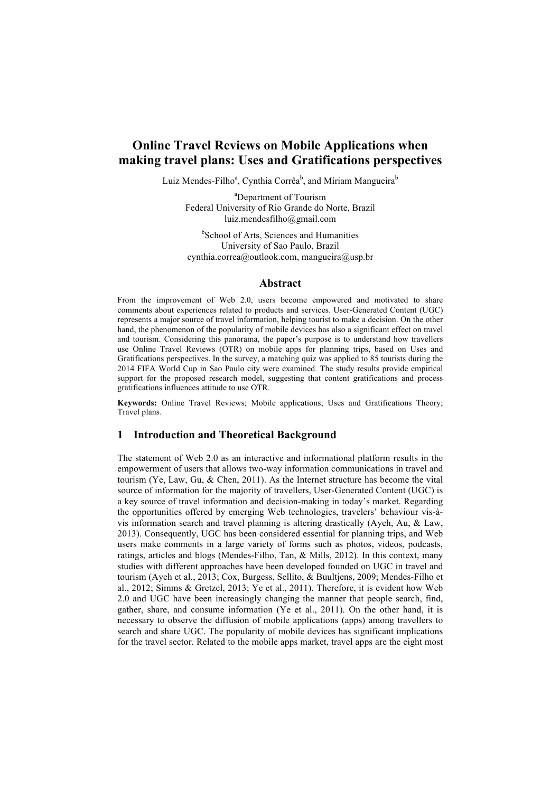# **Online Travel Reviews on Mobile Applications when making travel plans: Uses and Gratifications perspectives**

Luiz Mendes-Filho<sup>a</sup>, Cynthia Corrêa<sup>b</sup>, and Míriam Mangueira<sup>b</sup>

<sup>a</sup>Department of Tourism Federal University of Rio Grande do Norte, Brazil luiz.mendesfilho@gmail.com

<sup>b</sup>School of Arts, Sciences and Humanities University of Sao Paulo, Brazil cynthia.correa@outlook.com, mangueira@usp.br

### **Abstract**

From the improvement of Web 2.0, users become empowered and motivated to share comments about experiences related to products and services. User-Generated Content (UGC) represents a major source of travel information, helping tourist to make a decision. On the other hand, the phenomenon of the popularity of mobile devices has also a significant effect on travel and tourism. Considering this panorama, the paper's purpose is to understand how travellers use Online Travel Reviews (OTR) on mobile apps for planning trips, based on Uses and Gratifications perspectives. In the survey, a matching quiz was applied to 85 tourists during the 2014 FIFA World Cup in Sao Paulo city were examined. The study results provide empirical support for the proposed research model, suggesting that content gratifications and process gratifications influences attitude to use OTR.

**Keywords:** Online Travel Reviews; Mobile applications; Uses and Gratifications Theory; Travel plans.

### **1 Introduction and Theoretical Background**

The statement of Web 2.0 as an interactive and informational platform results in the empowerment of users that allows two-way information communications in travel and tourism (Ye, Law, Gu, & Chen, 2011). As the Internet structure has become the vital source of information for the majority of travellers, User-Generated Content (UGC) is a key source of travel information and decision-making in today's market. Regarding the opportunities offered by emerging Web technologies, travelers' behaviour vis-àvis information search and travel planning is altering drastically (Ayeh, Au, & Law, 2013). Consequently, UGC has been considered essential for planning trips, and Web users make comments in a large variety of forms such as photos, videos, podcasts, ratings, articles and blogs (Mendes-Filho, Tan, & Mills, 2012). In this context, many studies with different approaches have been developed founded on UGC in travel and tourism (Ayeh et al., 2013; Cox, Burgess, Sellito, & Buultjens, 2009; Mendes-Filho et al., 2012; Simms & Gretzel, 2013; Ye et al., 2011). Therefore, it is evident how Web 2.0 and UGC have been increasingly changing the manner that people search, find, gather, share, and consume information (Ye et al., 2011). On the other hand, it is necessary to observe the diffusion of mobile applications (apps) among travellers to search and share UGC. The popularity of mobile devices has significant implications for the travel sector. Related to the mobile apps market, travel apps are the eight most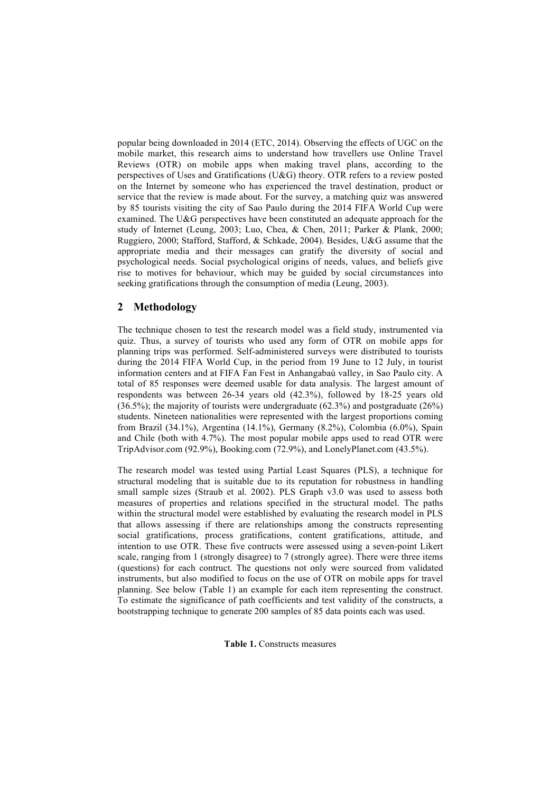popular being downloaded in 2014 (ETC, 2014). Observing the effects of UGC on the mobile market, this research aims to understand how travellers use Online Travel Reviews (OTR) on mobile apps when making travel plans, according to the perspectives of Uses and Gratifications (U&G) theory. OTR refers to a review posted on the Internet by someone who has experienced the travel destination, product or service that the review is made about. For the survey, a matching quiz was answered by 85 tourists visiting the city of Sao Paulo during the 2014 FIFA World Cup were examined. The U&G perspectives have been constituted an adequate approach for the study of Internet (Leung, 2003; Luo, Chea, & Chen, 2011; Parker & Plank, 2000; Ruggiero, 2000; Stafford, Stafford, & Schkade, 2004). Besides, U&G assume that the appropriate media and their messages can gratify the diversity of social and psychological needs. Social psychological origins of needs, values, and beliefs give rise to motives for behaviour, which may be guided by social circumstances into seeking gratifications through the consumption of media (Leung, 2003).

# **2 Methodology**

The technique chosen to test the research model was a field study, instrumented via quiz. Thus, a survey of tourists who used any form of OTR on mobile apps for planning trips was performed. Self-administered surveys were distributed to tourists during the 2014 FIFA World Cup, in the period from 19 June to 12 July, in tourist information centers and at FIFA Fan Fest in Anhangabaú valley, in Sao Paulo city. A total of 85 responses were deemed usable for data analysis. The largest amount of respondents was between 26-34 years old (42.3%), followed by 18-25 years old (36.5%); the majority of tourists were undergraduate (62.3%) and postgraduate (26%) students. Nineteen nationalities were represented with the largest proportions coming from Brazil (34.1%), Argentina (14.1%), Germany (8.2%), Colombia (6.0%), Spain and Chile (both with 4.7%). The most popular mobile apps used to read OTR were TripAdvisor.com (92.9%), Booking.com (72.9%), and LonelyPlanet.com (43.5%).

The research model was tested using Partial Least Squares (PLS), a technique for structural modeling that is suitable due to its reputation for robustness in handling small sample sizes (Straub et al. 2002). PLS Graph v3.0 was used to assess both measures of properties and relations specified in the structural model. The paths within the structural model were established by evaluating the research model in PLS that allows assessing if there are relationships among the constructs representing social gratifications, process gratifications, content gratifications, attitude, and intention to use OTR. These five contructs were assessed using a seven-point Likert scale, ranging from 1 (strongly disagree) to 7 (strongly agree). There were three items (questions) for each contruct. The questions not only were sourced from validated instruments, but also modified to focus on the use of OTR on mobile apps for travel planning. See below (Table 1) an example for each item representing the construct. To estimate the significance of path coefficients and test validity of the constructs, a bootstrapping technique to generate 200 samples of 85 data points each was used.

**Table 1.** Constructs measures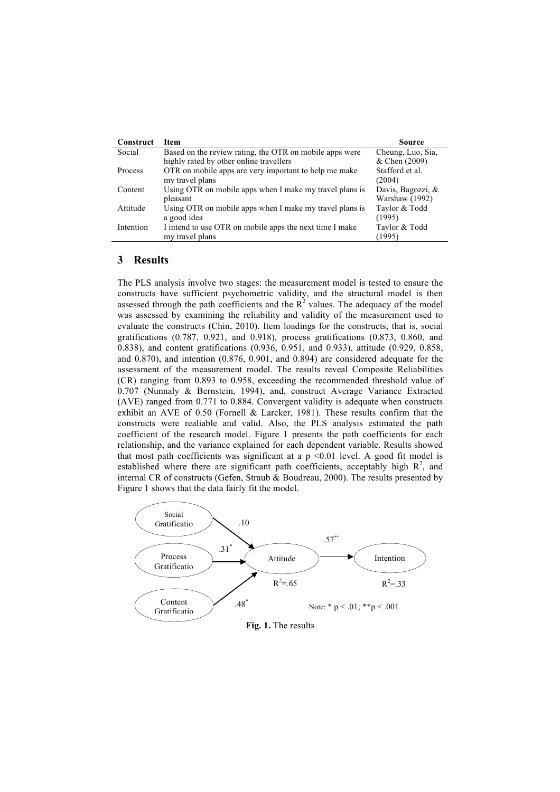| Construct | <b>Item</b>                                             | Source            |
|-----------|---------------------------------------------------------|-------------------|
| Social    | Based on the review rating, the OTR on mobile apps were | Cheung, Luo, Sia, |
|           | highly rated by other online travellers                 | & Chen (2009)     |
| Process   | OTR on mobile apps are very important to help me make   | Stafford et al.   |
|           | my travel plans                                         | (2004)            |
| Content   | Using OTR on mobile apps when I make my travel plans is | Davis, Bagozzi, & |
|           | pleasant                                                | Warshaw (1992)    |
| Attitude  | Using OTR on mobile apps when I make my travel plans is | Taylor & Todd     |
|           | a good idea                                             | (1995)            |
| Intention | I intend to use OTR on mobile apps the next time I make | Taylor & Todd     |
|           | my travel plans                                         | (1995)            |

#### **3 Results**

The PLS analysis involve two stages: the measurement model is tested to ensure the constructs have sufficient psychometric validity, and the structural model is then assessed through the path coefficients and the  $R^2$  values. The adequacy of the model was assessed by examining the reliability and validity of the measurement used to evaluate the constructs (Chin, 2010). Item loadings for the constructs, that is, social gratifications (0.787, 0.921, and 0.918), process gratifications (0.873, 0.860, and 0.838), and content gratifications (0.936, 0.951, and 0.933), attitude (0.929, 0.858, and 0.870), and intention (0.876, 0.901, and 0.894) are considered adequate for the assessment of the measurement model. The results reveal Composite Reliabilities (CR) ranging from 0.893 to 0.958, exceeding the recommended threshold value of 0.707 (Nunnaly & Bernstein, 1994), and, construct Average Variance Extracted (AVE) ranged from 0.771 to 0.884. Convergent validity is adequate when constructs exhibit an AVE of 0.50 (Fornell & Larcker, 1981). These results confirm that the constructs were realiable and valid. Also, the PLS analysis estimated the path coefficient of the research model. Figure 1 presents the path coefficients for each relationship, and the variance explained for each dependent variable. Results showed that most path coefficients was significant at a  $p \le 0.01$  level. A good fit model is established where there are significant path coefficients, acceptably high  $R^2$ , and internal CR of constructs (Gefen, Straub & Boudreau, 2000). The results presented by Figure 1 shows that the data fairly fit the model.



**Fig. 1.** The results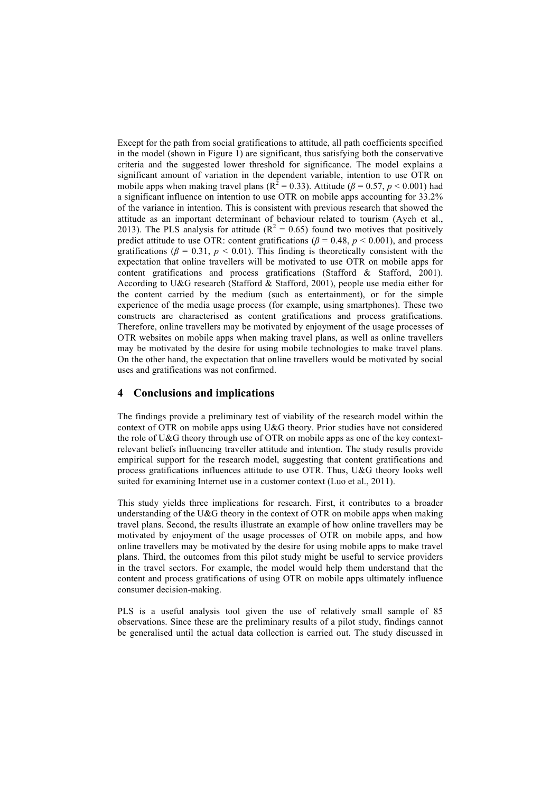Except for the path from social gratifications to attitude, all path coefficients specified in the model (shown in Figure 1) are significant, thus satisfying both the conservative criteria and the suggested lower threshold for significance. The model explains a significant amount of variation in the dependent variable, intention to use OTR on mobile apps when making travel plans ( $R^2 = 0.33$ ). Attitude ( $\beta = 0.57$ ,  $p < 0.001$ ) had a significant influence on intention to use OTR on mobile apps accounting for 33.2% of the variance in intention. This is consistent with previous research that showed the attitude as an important determinant of behaviour related to tourism (Ayeh et al., 2013). The PLS analysis for attitude ( $R^2 = 0.65$ ) found two motives that positively predict attitude to use OTR: content gratifications ( $\beta$  = 0.48,  $p$  < 0.001), and process gratifications ( $\beta$  = 0.31,  $p$  < 0.01). This finding is theoretically consistent with the expectation that online travellers will be motivated to use OTR on mobile apps for content gratifications and process gratifications (Stafford & Stafford, 2001). According to U&G research (Stafford & Stafford, 2001), people use media either for the content carried by the medium (such as entertainment), or for the simple experience of the media usage process (for example, using smartphones). These two constructs are characterised as content gratifications and process gratifications. Therefore, online travellers may be motivated by enjoyment of the usage processes of OTR websites on mobile apps when making travel plans, as well as online travellers may be motivated by the desire for using mobile technologies to make travel plans. On the other hand, the expectation that online travellers would be motivated by social uses and gratifications was not confirmed.

## **4 Conclusions and implications**

The findings provide a preliminary test of viability of the research model within the context of OTR on mobile apps using U&G theory. Prior studies have not considered the role of U&G theory through use of OTR on mobile apps as one of the key contextrelevant beliefs influencing traveller attitude and intention. The study results provide empirical support for the research model, suggesting that content gratifications and process gratifications influences attitude to use OTR. Thus, U&G theory looks well suited for examining Internet use in a customer context (Luo et al., 2011).

This study yields three implications for research. First, it contributes to a broader understanding of the U&G theory in the context of OTR on mobile apps when making travel plans. Second, the results illustrate an example of how online travellers may be motivated by enjoyment of the usage processes of OTR on mobile apps, and how online travellers may be motivated by the desire for using mobile apps to make travel plans. Third, the outcomes from this pilot study might be useful to service providers in the travel sectors. For example, the model would help them understand that the content and process gratifications of using OTR on mobile apps ultimately influence consumer decision-making.

PLS is a useful analysis tool given the use of relatively small sample of 85 observations. Since these are the preliminary results of a pilot study, findings cannot be generalised until the actual data collection is carried out. The study discussed in